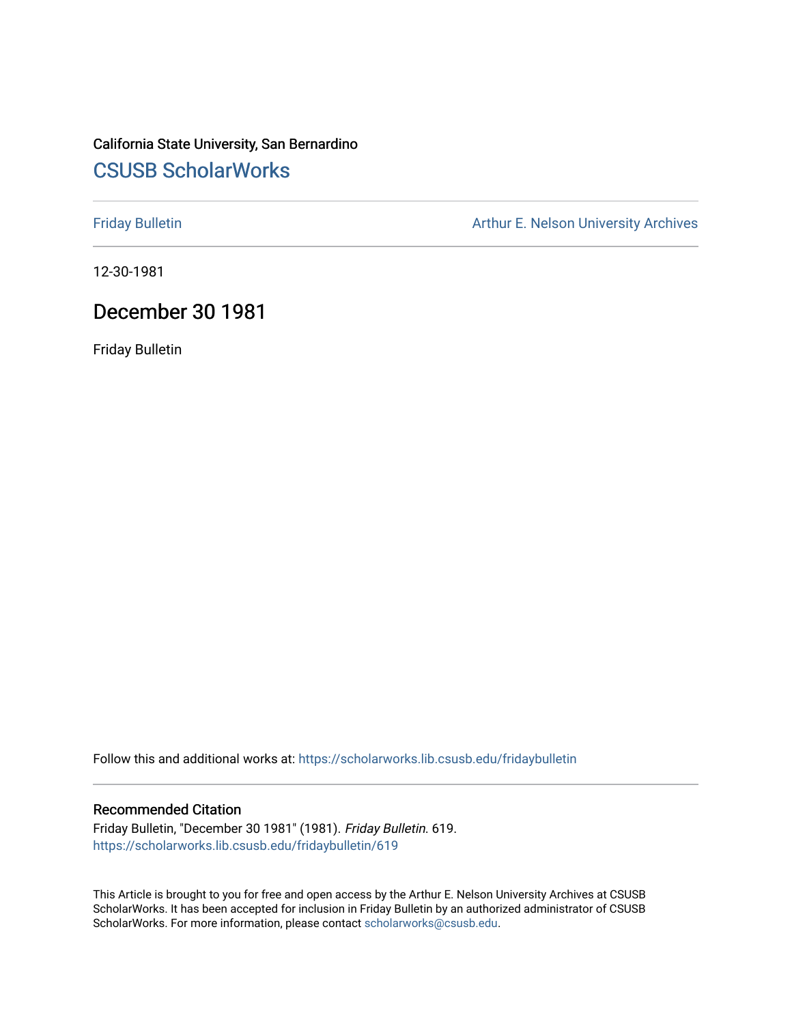# California State University, San Bernardino [CSUSB ScholarWorks](https://scholarworks.lib.csusb.edu/)

[Friday Bulletin](https://scholarworks.lib.csusb.edu/fridaybulletin) **Arthur E. Nelson University Archives** Arthur E. Nelson University Archives

12-30-1981

## December 30 1981

Friday Bulletin

Follow this and additional works at: [https://scholarworks.lib.csusb.edu/fridaybulletin](https://scholarworks.lib.csusb.edu/fridaybulletin?utm_source=scholarworks.lib.csusb.edu%2Ffridaybulletin%2F619&utm_medium=PDF&utm_campaign=PDFCoverPages)

### Recommended Citation

Friday Bulletin, "December 30 1981" (1981). Friday Bulletin. 619. [https://scholarworks.lib.csusb.edu/fridaybulletin/619](https://scholarworks.lib.csusb.edu/fridaybulletin/619?utm_source=scholarworks.lib.csusb.edu%2Ffridaybulletin%2F619&utm_medium=PDF&utm_campaign=PDFCoverPages)

This Article is brought to you for free and open access by the Arthur E. Nelson University Archives at CSUSB ScholarWorks. It has been accepted for inclusion in Friday Bulletin by an authorized administrator of CSUSB ScholarWorks. For more information, please contact [scholarworks@csusb.edu.](mailto:scholarworks@csusb.edu)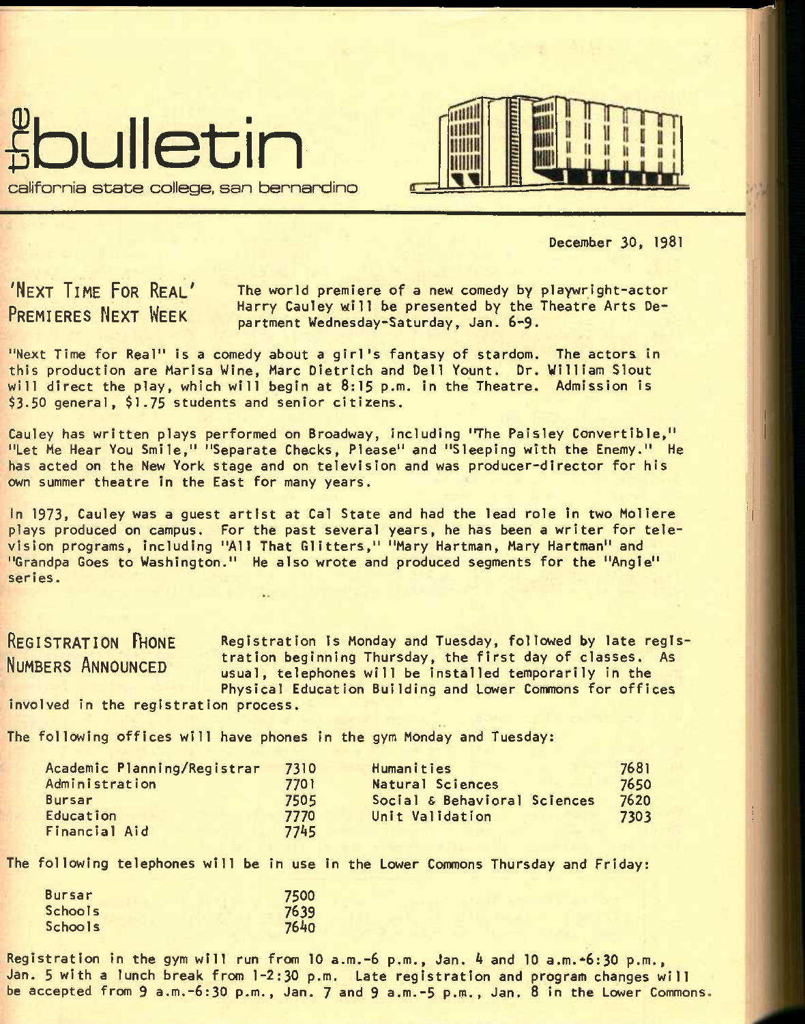



December 30, 1981

**'NEXT TIME FOR REAL' PREMIERES NEXT WEEK** 

The world premiere of a new comedy by playwright-actor Harry Cauley will be presented by the Theatre Arts Department Wednesday-Saturday, Jan. 6-9.

"Next Time for Real" Is a comedy about a girl's fantasy of stardom. The actors In this production are Marlsa Wine, Marc Dietrich and Dell Yount. Dr. William Slout will direct the play, which will begin at 8:15 p.m. In the Theatre. Admission Is \$3.50 general, \$1.75 students and senior citizens.

Cauley has written plays performed on Broadway, including "The Paisley Convertible," "Let Me Hear You Smile," "Separate Checks, Please" and "Sleeping with the Enemy." He has acted on the New York stage and on television and was producer-director for his own summer theatre in the East for many years.

In 1973, Cauley was a guest artist at Cal State and had the lead role In two Mollere plays produced on campus. For the past several years, he has been a writer for television programs, Including "All That Glitters," "Mary Hartman, Mary Hartman" and "Grandpa Goes to Washington." He also wrote and produced segments for the "Angle" series.

**REGISTRATION PHONE** Registration is Monday and Tuesday, followed by late regls-NUMBERS ANNOUNCED tration beginning Thursday, the first day of classes. As usual, telephones will be installed temporarily in the Physical Education Building and Lower Commons for offices

Involved in the registration process.

The following offices will have phones in the gym Monday and Tuesday:

| Academic Planning/Registrar | 7310 | Humanities                   | 7681 |
|-----------------------------|------|------------------------------|------|
| Administration              | 7701 | Natural Sciences             | 7650 |
| Bursar                      | 7505 | Social & Behavioral Sciences | 7620 |
| Education                   | 7770 | Unit Validation              | 7303 |
| Financial Aid               | 7745 |                              |      |

The following telephones will be in use in the Lower Commons Thursday and Friday:

| <b>Bursar</b>  | 7500 |
|----------------|------|
| Schools        | 7639 |
| <b>Schools</b> | 7640 |

Registration in the gym will run from 10 a.m.-6 p.m., Jan. 4 and 10 a.m. $\div 6:30$  p.m., Jan. 5 with a lunch break from 1-2:30 p.m. Late registration and program changes will be accepted from 9 a.m.-6:30 p.m., Jan. 7 and 9 a.m.-5 p.m., Jan. 8 in the Lower Commons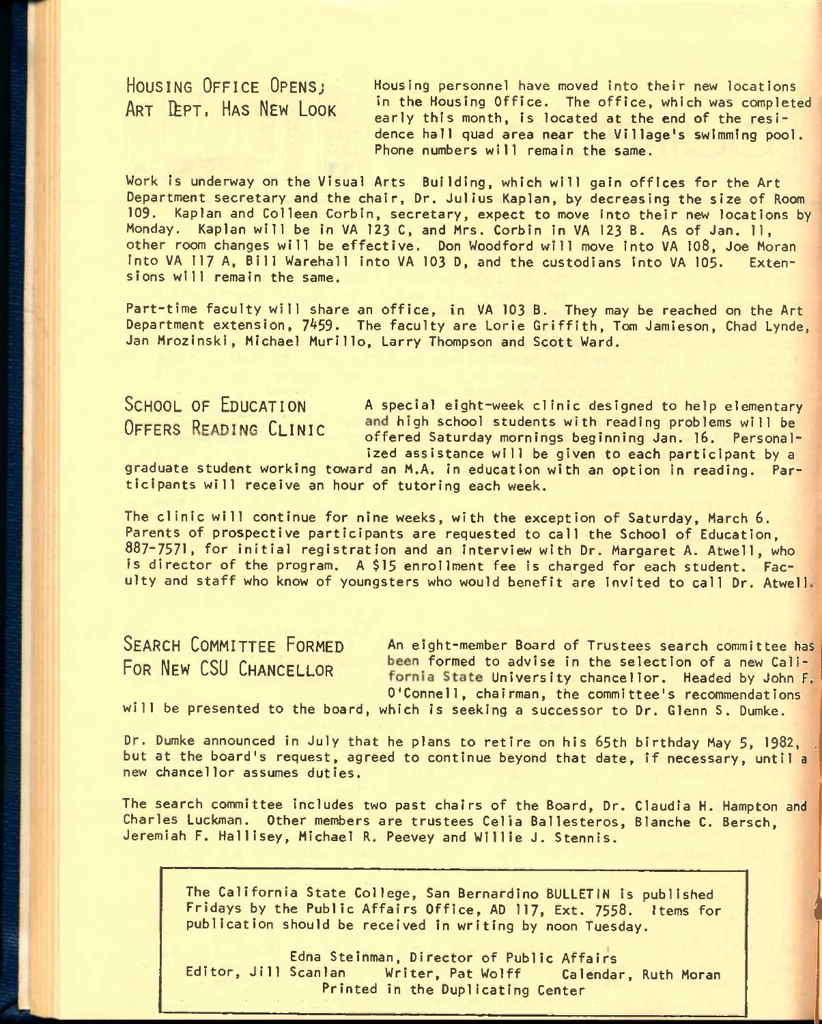**HOUSING OFFICE OPENSJ**  ART LEPT. HAS NEW LOOK

Housing personnel have moved into their new locations in the Housing Office. The office, which was completed early this month, is located at the end of the residence hall quad area near the Village's swimming pool. Phone numbers will remain the same.

Work is underway on the Visual Arts Building, which will gain offices for the Art Department secretary and the chair, Dr. Julius Kaplan, by decreasing the size of Room 109. Kaplan and Colleen Corbin, secretary, expect to move Into their new locations by Monday. Kaplan will be in VA 123 C, and Mrs. Corbin in VA 123 B. As of Jan. 11, other room changes will be effective. Don Woodford will move into VA 108, Joe Moran into VA 117 A, Bill Warehall into VA 103 D, and the custodians into VA 105. Extensions will remain the same.

Part-time faculty will share an office, in VA 103 B. They may be reached on the Art Department extension, 7459. The faculty are Lorie Griffith, Tom Jamieson, Chad Lynde, Jan Mrozinski, Michael Murillo, Larry Thompson and Scott Ward.

SCHOOL OF EDUCATION A special eight-week clinic designed to help elementary  $O$ FFERS READING  $C$ LINIC and high school students with reading problems will be offered Saturday mornings beginning Jan. 16. Personalized assistance will be given to each participant by a

graduate student working toward an M.A. in education with an option in reading. Participants will receive an hour of tutoring each week.

The clinic will continue for nine weeks, with the exception of Saturday, March 6. Parents of prospective participants are requested to call the School of Education, 887-7571, for initial registration and an interview with Dr. Margaret A. Atwell, who is director of the program. A \$15 enrollment fee is charged for each student. Faculty and staff who know of youngsters who would benefit are invited to call Dr. Atwell

SEARCH COMMITTEE FORMED An eight-member Board of Trustees search committee has POR NEW CSU CHANCELLOR been formed to advise in the selection of a new Callfornia State University chancellor. Headed by John F. O'Connell, chairman, the committee's recommendations

**1** 

will be presented to the board, which is seeking a successor to Dr. Glenn S. Dumke.

Dr. Dumke announced in July that he plans to retire on his 65th birthday May 5, 1982, but at the board's request, agreed to continue beyond that date, if necessary, until a new chancellor assumes duties.

The search committee includes two past chairs of the Board, Dr. Claudia H. Hampton and Charles Luckman. Other members are trustees Celia Ballesteros, Blanche C. Bersch, Jeremiah F. Hallisey, Michael R. Peevey and Willie J. Stennis.

The California State College, San Bernardino BULLETIN is published Fridays by the Public Affairs Office, AD 117, Ext. 7558. Items for publication should be received in writing by noon Tuesday.

Edna Steinman, Director of Public Affairs Editor, Jill Scanlan Writer, Pat Wolff Calendar, Ruth Moran Printed in the Duplicating Center